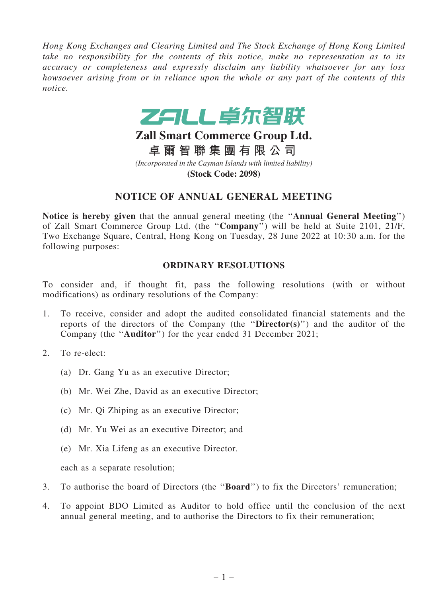*Hong Kong Exchanges and Clearing Limited and The Stock Exchange of Hong Kong Limited take no responsibility for the contents of this notice, make no representation as to its accuracy or completeness and expressly disclaim any liability whatsoever for any loss howsoever arising from or in reliance upon the whole or any part of the contents of this notice.*



# **Zall Smart Commerce Group Ltd.**

**卓 爾 智 聯 集 團 有 限 公 司** *(Incorporated in the Cayman Islands with limited liability)* **(Stock Code: 2098)**

## NOTICE OF ANNUAL GENERAL MEETING

Notice is hereby given that the annual general meeting (the ''Annual General Meeting'') of Zall Smart Commerce Group Ltd. (the ''Company'') will be held at Suite 2101, 21/F, Two Exchange Square, Central, Hong Kong on Tuesday, 28 June 2022 at 10:30 a.m. for the following purposes:

#### ORDINARY RESOLUTIONS

To consider and, if thought fit, pass the following resolutions (with or without modifications) as ordinary resolutions of the Company:

- 1. To receive, consider and adopt the audited consolidated financial statements and the reports of the directors of the Company (the ''Director(s)'') and the auditor of the Company (the ''Auditor'') for the year ended 31 December 2021;
- 2. To re-elect:
	- (a) Dr. Gang Yu as an executive Director;
	- (b) Mr. Wei Zhe, David as an executive Director;
	- (c) Mr. Qi Zhiping as an executive Director;
	- (d) Mr. Yu Wei as an executive Director; and
	- (e) Mr. Xia Lifeng as an executive Director.

each as a separate resolution;

- 3. To authorise the board of Directors (the ''Board'') to fix the Directors' remuneration;
- 4. To appoint BDO Limited as Auditor to hold office until the conclusion of the next annual general meeting, and to authorise the Directors to fix their remuneration;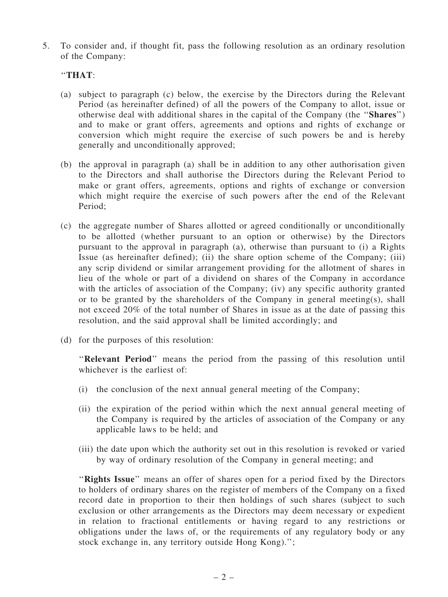5. To consider and, if thought fit, pass the following resolution as an ordinary resolution of the Company:

### ''THAT:

- (a) subject to paragraph (c) below, the exercise by the Directors during the Relevant Period (as hereinafter defined) of all the powers of the Company to allot, issue or otherwise deal with additional shares in the capital of the Company (the ''Shares'') and to make or grant offers, agreements and options and rights of exchange or conversion which might require the exercise of such powers be and is hereby generally and unconditionally approved;
- (b) the approval in paragraph (a) shall be in addition to any other authorisation given to the Directors and shall authorise the Directors during the Relevant Period to make or grant offers, agreements, options and rights of exchange or conversion which might require the exercise of such powers after the end of the Relevant Period;
- (c) the aggregate number of Shares allotted or agreed conditionally or unconditionally to be allotted (whether pursuant to an option or otherwise) by the Directors pursuant to the approval in paragraph (a), otherwise than pursuant to (i) a Rights Issue (as hereinafter defined); (ii) the share option scheme of the Company; (iii) any scrip dividend or similar arrangement providing for the allotment of shares in lieu of the whole or part of a dividend on shares of the Company in accordance with the articles of association of the Company; (iv) any specific authority granted or to be granted by the shareholders of the Company in general meeting(s), shall not exceed 20% of the total number of Shares in issue as at the date of passing this resolution, and the said approval shall be limited accordingly; and
- (d) for the purposes of this resolution:

"Relevant Period" means the period from the passing of this resolution until whichever is the earliest of:

- (i) the conclusion of the next annual general meeting of the Company;
- (ii) the expiration of the period within which the next annual general meeting of the Company is required by the articles of association of the Company or any applicable laws to be held; and
- (iii) the date upon which the authority set out in this resolution is revoked or varied by way of ordinary resolution of the Company in general meeting; and

"Rights Issue" means an offer of shares open for a period fixed by the Directors to holders of ordinary shares on the register of members of the Company on a fixed record date in proportion to their then holdings of such shares (subject to such exclusion or other arrangements as the Directors may deem necessary or expedient in relation to fractional entitlements or having regard to any restrictions or obligations under the laws of, or the requirements of any regulatory body or any stock exchange in, any territory outside Hong Kong).'';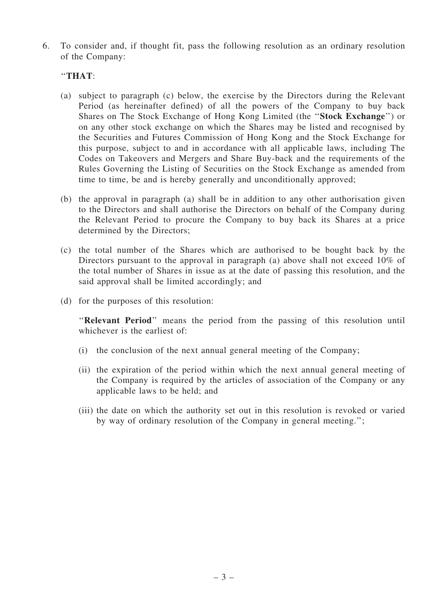6. To consider and, if thought fit, pass the following resolution as an ordinary resolution of the Company:

### ''THAT:

- (a) subject to paragraph (c) below, the exercise by the Directors during the Relevant Period (as hereinafter defined) of all the powers of the Company to buy back Shares on The Stock Exchange of Hong Kong Limited (the ''Stock Exchange'') or on any other stock exchange on which the Shares may be listed and recognised by the Securities and Futures Commission of Hong Kong and the Stock Exchange for this purpose, subject to and in accordance with all applicable laws, including The Codes on Takeovers and Mergers and Share Buy-back and the requirements of the Rules Governing the Listing of Securities on the Stock Exchange as amended from time to time, be and is hereby generally and unconditionally approved;
- (b) the approval in paragraph (a) shall be in addition to any other authorisation given to the Directors and shall authorise the Directors on behalf of the Company during the Relevant Period to procure the Company to buy back its Shares at a price determined by the Directors;
- (c) the total number of the Shares which are authorised to be bought back by the Directors pursuant to the approval in paragraph (a) above shall not exceed 10% of the total number of Shares in issue as at the date of passing this resolution, and the said approval shall be limited accordingly; and
- (d) for the purposes of this resolution:

"Relevant Period" means the period from the passing of this resolution until whichever is the earliest of:

- (i) the conclusion of the next annual general meeting of the Company;
- (ii) the expiration of the period within which the next annual general meeting of the Company is required by the articles of association of the Company or any applicable laws to be held; and
- (iii) the date on which the authority set out in this resolution is revoked or varied by way of ordinary resolution of the Company in general meeting.'';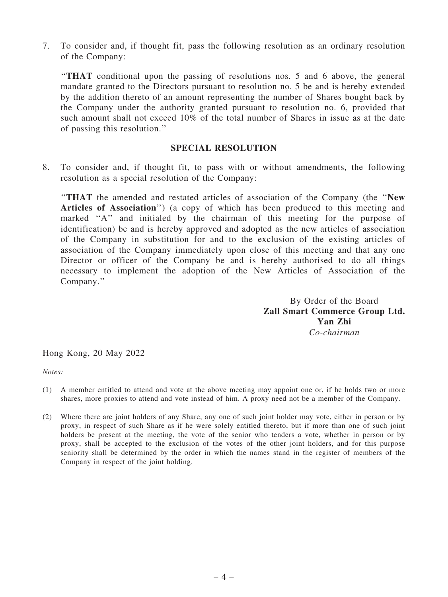7. To consider and, if thought fit, pass the following resolution as an ordinary resolution of the Company:

''THAT conditional upon the passing of resolutions nos. 5 and 6 above, the general mandate granted to the Directors pursuant to resolution no. 5 be and is hereby extended by the addition thereto of an amount representing the number of Shares bought back by the Company under the authority granted pursuant to resolution no. 6, provided that such amount shall not exceed 10% of the total number of Shares in issue as at the date of passing this resolution.''

#### SPECIAL RESOLUTION

8. To consider and, if thought fit, to pass with or without amendments, the following resolution as a special resolution of the Company:

''THAT the amended and restated articles of association of the Company (the ''New Articles of Association'') (a copy of which has been produced to this meeting and marked "A" and initialed by the chairman of this meeting for the purpose of identification) be and is hereby approved and adopted as the new articles of association of the Company in substitution for and to the exclusion of the existing articles of association of the Company immediately upon close of this meeting and that any one Director or officer of the Company be and is hereby authorised to do all things necessary to implement the adoption of the New Articles of Association of the Company.''

> By Order of the Board Zall Smart Commerce Group Ltd. Yan Zhi *Co-chairman*

Hong Kong, 20 May 2022

*Notes:*

- (1) A member entitled to attend and vote at the above meeting may appoint one or, if he holds two or more shares, more proxies to attend and vote instead of him. A proxy need not be a member of the Company.
- (2) Where there are joint holders of any Share, any one of such joint holder may vote, either in person or by proxy, in respect of such Share as if he were solely entitled thereto, but if more than one of such joint holders be present at the meeting, the vote of the senior who tenders a vote, whether in person or by proxy, shall be accepted to the exclusion of the votes of the other joint holders, and for this purpose seniority shall be determined by the order in which the names stand in the register of members of the Company in respect of the joint holding.